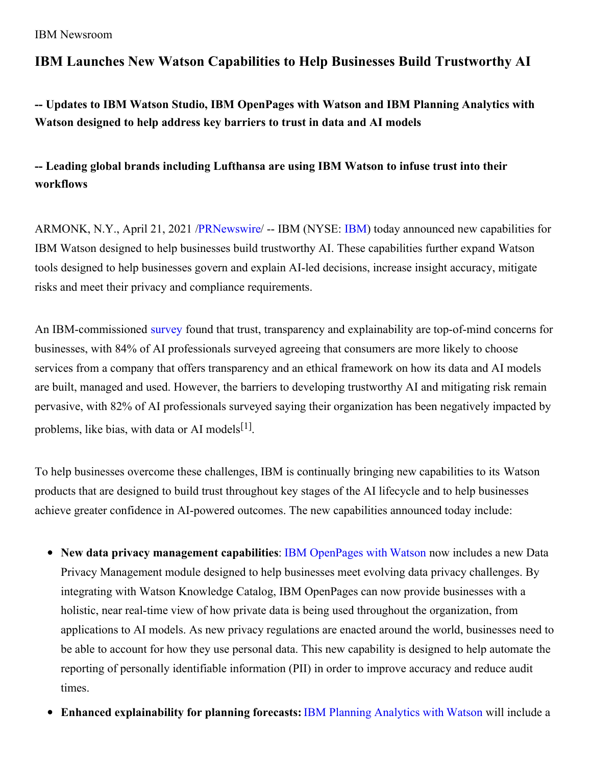IBM Newsroom

# **IBM Launches New Watson Capabilities to Help Businesses Build Trustworthy AI**

**-- Updates to IBM Watson Studio, IBM OpenPages with Watson and IBM Planning Analytics with Watson designed to help address key barriers to trust in data and AI models**

**-- Leading global brands including Lufthansa are using IBM Watson to infuse trust into their workflows**

ARMONK, N.Y., April 21, 2021 [/PRNewswire](http://www.prnewswire.com/)/ -- IBM (NYSE: [IBM](https://c212.net/c/link/?t=0&l=en&o=3136766-1&h=3197097871&u=http%3A%2F%2Fwww.ibm.com%2Finvestor%2F&a=IBM)) today announced new capabilities for IBM Watson designed to help businesses build trustworthy AI. These capabilities further expand Watson tools designed to help businesses govern and explain AI-led decisions, increase insight accuracy, mitigate risks and meet their privacy and compliance requirements.

An IBM-commissioned [survey](https://c212.net/c/link/?t=0&l=en&o=3136766-1&h=2351535272&u=https%3A%2F%2Ffilecache.mediaroom.com%2Fmr5mr_ibmnews%2F189198%2FExecutive%2520Summary_Scaling%2520AI%2520Not%2520Risks%2520Removing%2520Trust%2520as%2520a%2520Barrier%2520to%2520AI%2520Adoption.pdf&a=survey) found that trust, transparency and explainability are top-of-mind concerns for businesses, with 84% of AI professionals surveyed agreeing that consumers are more likely to choose services from a company that offers transparency and an ethical framework on how its data and AI models are built, managed and used. However, the barriers to developing trustworthy AI and mitigating risk remain pervasive, with 82% of AI professionals surveyed saying their organization has been negatively impacted by problems, like bias, with data or AI models<sup>[1]</sup>.

To help businesses overcome these challenges, IBM is continually bringing new capabilities to its Watson products that are designed to build trust throughout key stages of the AI lifecycle and to help businesses achieve greater confidence in AI-powered outcomes. The new capabilities announced today include:

- **New data privacy management capabilities**: IBM [OpenPages](https://c212.net/c/link/?t=0&l=en&o=3136766-1&h=3265186536&u=https%3A%2F%2Fwww.ibm.com%2Fproducts%2Fopenpages-with-watson&a=IBM+OpenPages+with+Watson) with Watson now includes a new Data Privacy Management module designed to help businesses meet evolving data privacy challenges. By integrating with Watson Knowledge Catalog, IBM OpenPages can now provide businesses with a holistic, near real-time view of how private data is being used throughout the organization, from applications to AI models. As new privacy regulations are enacted around the world, businesses need to be able to account for how they use personal data. This new capability is designed to help automate the reporting of personally identifiable information (PII) in order to improve accuracy and reduce audit times.
- **Enhanced explainability for planning forecasts:** IBM Planning [Analytics](https://c212.net/c/link/?t=0&l=en&o=3136766-1&h=4043975403&u=https%3A%2F%2Fwww.ibm.com%2Fproducts%2Fplanning-analytics&a=IBM+Planning+Analytics+with+Watson) with Watson will include a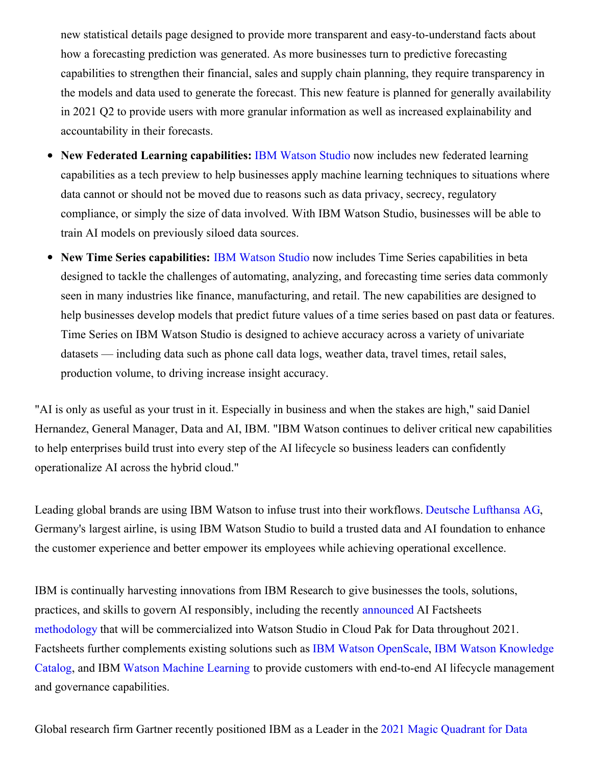new statistical details page designed to provide more transparent and easy-to-understand facts about how a forecasting prediction was generated. As more businesses turn to predictive forecasting capabilities to strengthen their financial, sales and supply chain planning, they require transparency in the models and data used to generate the forecast. This new feature is planned for generally availability in 2021 Q2 to provide users with more granular information as well as increased explainability and accountability in their forecasts.

- **New Federated Learning capabilities:** IBM [Watson](https://c212.net/c/link/?t=0&l=en&o=3136766-1&h=809075633&u=https%3A%2F%2Fwww.ibm.com%2Fcloud%2Fwatson-studio&a=IBM+Watson+Studio) Studio now includes new federated learning capabilities as a tech preview to help businesses apply machine learning techniques to situations where data cannot or should not be moved due to reasons such as data privacy, secrecy, regulatory compliance, or simply the size of data involved. With IBM Watson Studio, businesses will be able to train AI models on previously siloed data sources.
- **New Time Series capabilities:** IBM [Watson](https://c212.net/c/link/?t=0&l=en&o=3136766-1&h=809075633&u=https%3A%2F%2Fwww.ibm.com%2Fcloud%2Fwatson-studio&a=IBM+Watson+Studio) Studio now includes Time Series capabilities in beta designed to tackle the challenges of automating, analyzing, and forecasting time series data commonly seen in many industries like finance, manufacturing, and retail. The new capabilities are designed to help businesses develop models that predict future values of a time series based on past data or features. Time Series on IBM Watson Studio is designed to achieve accuracy across a variety of univariate datasets — including data such as phone call data logs, weather data, travel times, retail sales, production volume, to driving increase insight accuracy.

"AI is only as useful as your trust in it. Especially in business and when the stakes are high," said Daniel Hernandez, General Manager, Data and AI, IBM. "IBM Watson continues to deliver critical new capabilities to help enterprises build trust into every step of the AI lifecycle so business leaders can confidently operationalize AI across the hybrid cloud."

Leading global brands are using IBM Watson to infuse trust into their workflows. Deutsche [Lufthansa](https://c212.net/c/link/?t=0&l=en&o=3136766-1&h=780434624&u=https%3A%2F%2Fwww.ibm.com%2Fcase-studies%2Fdeutsche-lufthansa-ag%2F%3Flnk%3Dushpv18cs1&a=Deutsche+Lufthansa+AG) AG, Germany's largest airline, is using IBM Watson Studio to build a trusted data and AI foundation to enhance the customer experience and better empower its employees while achieving operational excellence.

IBM is continually harvesting innovations from IBM Research to give businesses the tools, solutions, practices, and skills to govern AI responsibly, including the recently [announced](https://c212.net/c/link/?t=0&l=en&o=3136766-1&h=4058708015&u=https%3A%2F%2Fwww.ibm.com%2Fblogs%2Fwatson%2F2020%2F12%2Fhow-ibm-is-advancing-ai-governance-to-help-clients-build-trust-and-transparency%2F&a=announced) AI Factsheets [methodology](https://c212.net/c/link/?t=0&l=en&o=3136766-1&h=2056454816&u=https%3A%2F%2Faifs360.mybluemix.net%2F&a=methodology) that will be commercialized into Watson Studio in Cloud Pak for Data throughout 2021. Factsheets further [complements](https://c212.net/c/link/?t=0&l=en&o=3136766-1&h=1348044382&u=https%3A%2F%2Fwww.ibm.com%2Fcloud%2Fwatson-knowledge-catalog&a=IBM+Watson+Knowledge+Catalog) existing solutions such as IBM Watson [OpenScale](https://c212.net/c/link/?t=0&l=en&o=3136766-1&h=3904040530&u=https%3A%2F%2Fwww.ibm.com%2Fcloud%2Fwatson-openscale&a=IBM+Watson+OpenScale), IBM Watson Knowledge Catalog, and IBM Watson Machine [Learning](https://c212.net/c/link/?t=0&l=en&o=3136766-1&h=2499459717&u=https%3A%2F%2Fwww.ibm.com%2Fcloud%2Fmachine-learning&a=Watson+Machine+Learning) to provide customers with end-to-end AI lifecycle management and governance capabilities.

Global research firm Gartner recently positioned IBM as a Leader in the 2021 Magic Quadrant for Data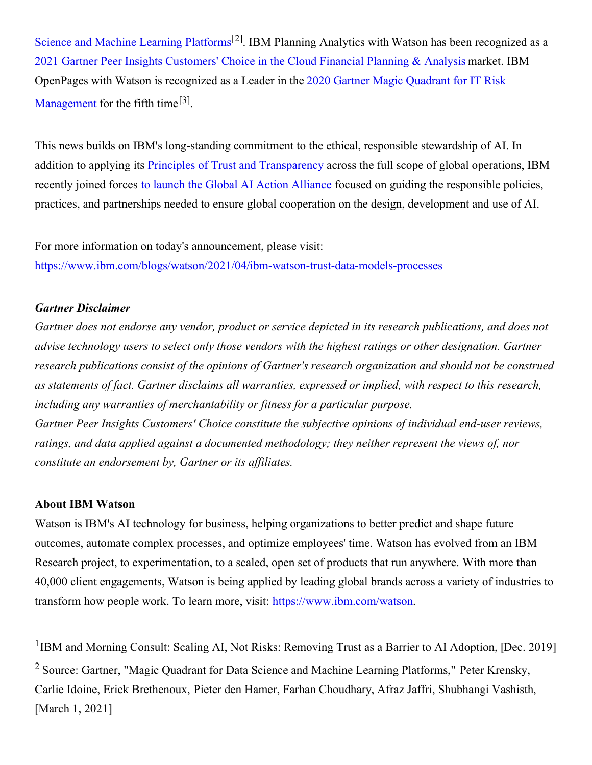Science and Machine Learning Platforms<sup>[2]</sup>. IBM Planning Analytics with Watson has been [recognized](https://c212.net/c/link/?t=0&l=en&o=3136766-1&h=3419208988&u=https%3A%2F%2Fnewsroom.ibm.com%2F2021-03-11-IBM-Positioned-as-a-Leader-in-Two-Newly-Released-Gartner-Magic-Quadrant-Reports&a=2021+Magic+Quadrant+for+Data+Science+and+Machine+Learning+Platforms) as a 2021 Gartner Peer Insights [Customers'](https://c212.net/c/link/?t=0&l=en&o=3136766-1&h=875799784&u=https%3A%2F%2Fwww.ibm.com%2Fblogs%2Fjourney-to-ai%2F2021%2F04%2F40925%2F&a=2021+Gartner+Peer+Insights+Customers%27+Choice+in+the+Cloud+Financial+Planning+%26+Analysis) Choice in the Cloud Financial Planning & Analysis market. IBM OpenPages with Watson is recognized as a Leader in the 2020 Gartner Magic Quadrant for IT Risk [Management](https://c212.net/c/link/?t=0&l=en&o=3136766-1&h=15579810&u=https%3A%2F%2Fwww.ibm.com%2Faccount%2Freg%2Fus-en%2Fsignup%3Fformid%3Durx-40099&a=2020+Gartner+Magic+Quadrant+for+IT+Risk+Management) for the fifth time<sup>[3]</sup>.

This news builds on IBM's long-standing commitment to the ethical, responsible stewardship of AI. In addition to applying its Principles of Trust and [Transparency](https://c212.net/c/link/?t=0&l=en&o=3136766-1&h=3062180959&u=https%3A%2F%2Fwww.ibm.com%2Fblogs%2Fpolicy%2Ftrust-principles%2F&a=Principles+of+Trust+and+Transparency) across the full scope of global operations, IBM recently joined forces to launch the Global AI Action [Alliance](https://c212.net/c/link/?t=0&l=en&o=3136766-1&h=1544910539&u=https%3A%2F%2Fwww.linkedin.com%2Fpulse%2Fsharing-our-ai-ethics-framework-arvind-krishna&a=to+launch+the%C2%A0Global+AI+Action+Alliance) focused on guiding the responsible policies, practices, and partnerships needed to ensure global cooperation on the design, development and use of AI.

For more information on today's announcement, please visit: [https://www.ibm.com/blogs/watson/2021/04/ibm-watson-trust-data-models-processes](https://c212.net/c/link/?t=0&l=en&o=3136766-1&h=388894663&u=https%3A%2F%2Fwww.ibm.com%2Fblogs%2Fwatson%2F2021%2F04%2Fibm-watson-trust-data-models-processes&a=https%3A%2F%2Fwww.ibm.com%2Fblogs%2Fwatson%2F2021%2F04%2Fibm-watson-trust-data-models-processes)

## *Gartner Disclaimer*

Gartner does not endorse any vendor, product or service depicted in its research publications, and does not *advise technology users to select only those vendors with the highest ratings or other designation. Gartner research publications consist of the opinions of Gartner's research organization and should not be construed as statements of fact. Gartner disclaims all warranties, expressed or implied, with respect to this research, including any warranties of merchantability or fitness for a particular purpose. Gartner Peer Insights Customers' Choice constitute the subjective opinions of individual end-user reviews, ratings, and data applied against a documented methodology; they neither represent the views of, nor constitute an endorsement by, Gartner or its af iliates.*

### **About IBM Watson**

Watson is IBM's AI technology for business, helping organizations to better predict and shape future outcomes, automate complex processes, and optimize employees' time. Watson has evolved from an IBM Research project, to experimentation, to a scaled, open set of products that run anywhere. With more than 40,000 client engagements, Watson is being applied by leading global brands across a variety of industries to transform how people work. To learn more, visit: [https://www.ibm.com/watson](https://c212.net/c/link/?t=0&l=en&o=3136766-1&h=524446166&u=https%3A%2F%2Fwww.ibm.com%2Fwatson&a=https%3A%2F%2Fwww.ibm.com%2Fwatson).

<sup>1</sup>IBM and Morning Consult: Scaling AI, Not Risks: Removing Trust as a Barrier to AI Adoption, [Dec. 2019] <sup>2</sup> Source: Gartner, "Magic Quadrant for Data Science and Machine Learning Platforms," Peter Krensky, Carlie Idoine, Erick Brethenoux, Pieter den Hamer, Farhan Choudhary, Afraz Jaffri, Shubhangi Vashisth, [March 1, 2021]